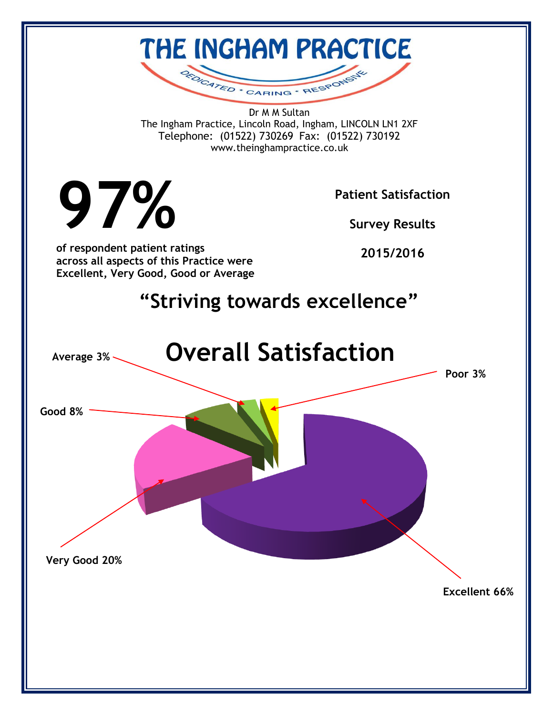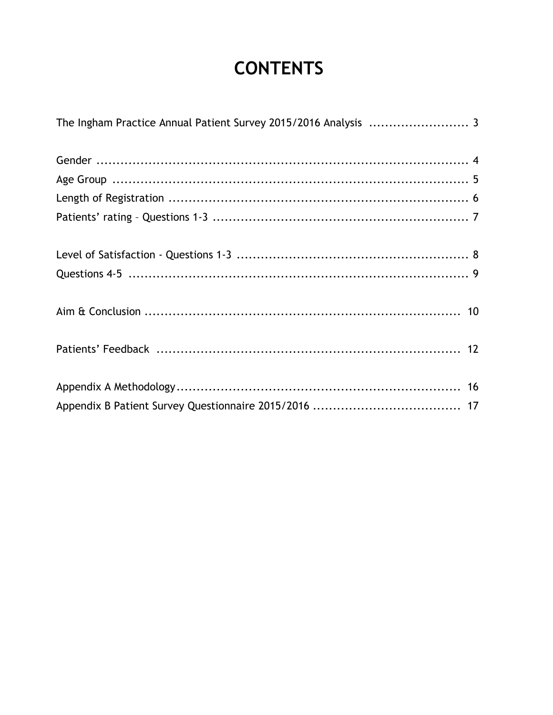# **CONTENTS**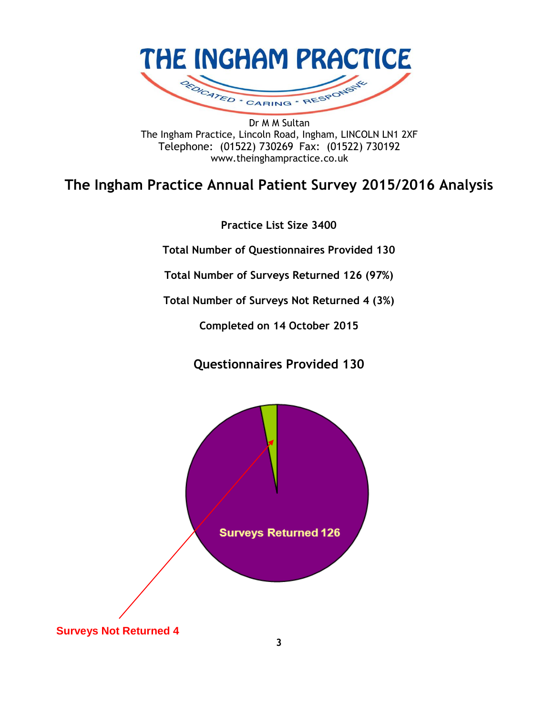

Dr M M Sultan The Ingham Practice, Lincoln Road, Ingham, LINCOLN LN1 2XF Telephone: (01522) 730269 Fax: (01522) 730192 www.theinghampractice.co.uk

### **The Ingham Practice Annual Patient Survey 2015/2016 Analysis**

**Practice List Size 3400**

**Total Number of Questionnaires Provided 130**

**Total Number of Surveys Returned 126 (97%)**

**Total Number of Surveys Not Returned 4 (3%)**

**Completed on 14 October 2015**

**Questionnaires Provided 130**

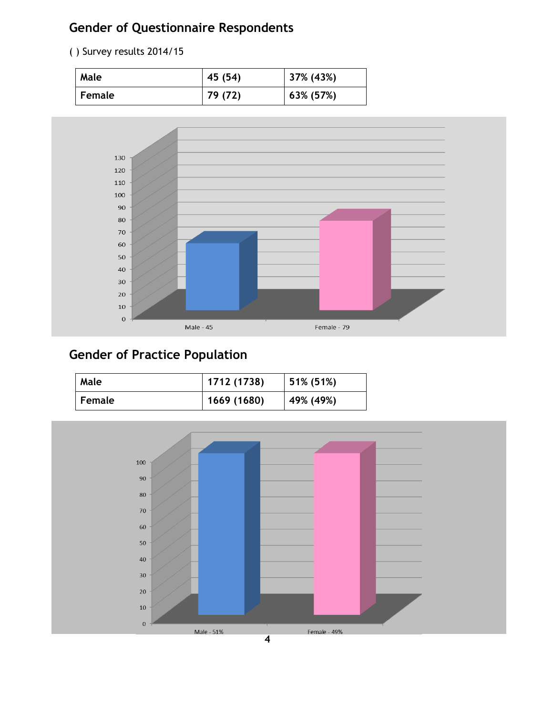### **Gender of Questionnaire Respondents**

( ) Survey results 2014/15

| Male      | 45 (54) | 37% (43%) |
|-----------|---------|-----------|
| l Female. | 79 (72) | 63% (57%) |



### **Gender of Practice Population**

| Male          | 1712 (1738) | 51% (51%) |
|---------------|-------------|-----------|
| <b>Female</b> | 1669 (1680) | 49% (49%) |

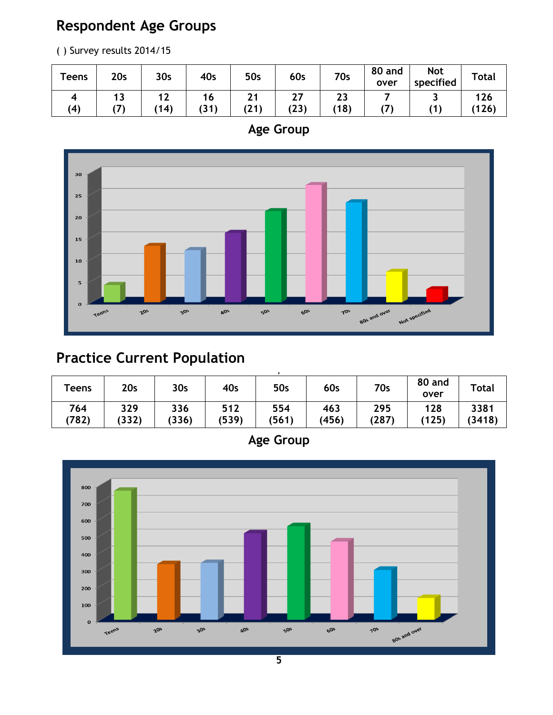## **Respondent Age Groups**

( ) Survey results 2014/15

| <b>Teens</b> | 20 <sub>s</sub> | 30 <sub>s</sub>           | 40s        | <b>50s</b> | 60s        | <b>70s</b> | 80 and<br>over | <b>Not</b><br>specified | <b>Total</b> |
|--------------|-----------------|---------------------------|------------|------------|------------|------------|----------------|-------------------------|--------------|
| (4)          | . .             | . .<br>$\epsilon$<br>(14) | ۱O<br>(31) | (21)       | 27<br>(23) | 23<br>(18) |                |                         | 126<br>(126) |





## **Practice Current Population**

| <b>Teens</b> | 20s          | 30 <sub>s</sub> | 40s          | 50s          | 60s          | 70s          | 80 and<br>over | <b>Total</b>   |
|--------------|--------------|-----------------|--------------|--------------|--------------|--------------|----------------|----------------|
| 764<br>(782) | 329<br>(332) | 336<br>(336)    | 512<br>(539) | 554<br>(561) | 463<br>(456) | 295<br>(287) | 128<br>(125)   | 3381<br>(3418) |

**Age Group**

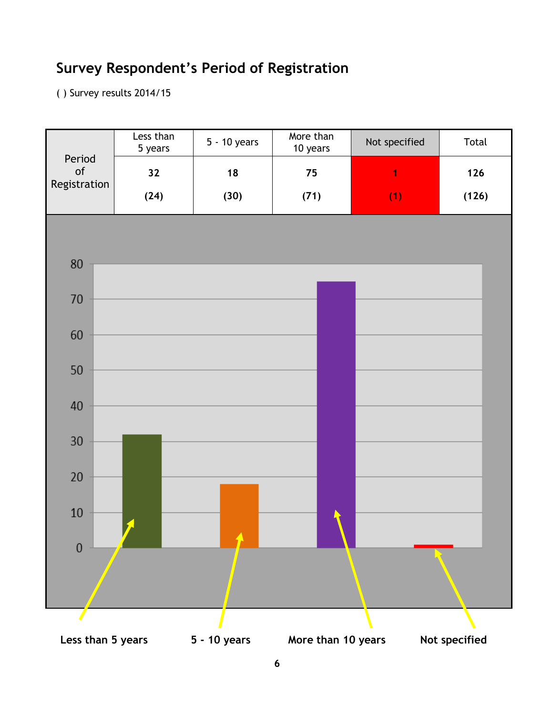## **Survey Respondent's Period of Registration**

( ) Survey results 2014/15

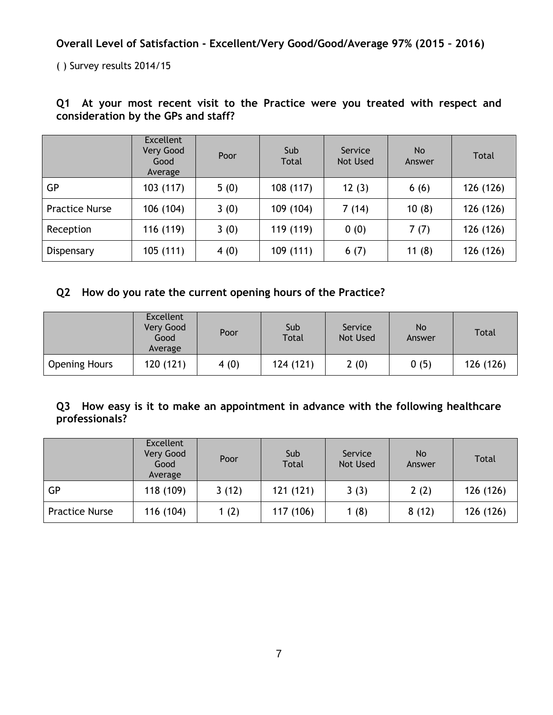**Overall Level of Satisfaction - Excellent/Very Good/Good/Average 97% (2015 – 2016)**

( ) Survey results 2014/15

|                       | <b>Excellent</b><br>Very Good<br>Good<br>Average | Poor | Sub<br>Service<br>Total<br>Not Used |       | N <sub>o</sub><br>Answer | Total     |
|-----------------------|--------------------------------------------------|------|-------------------------------------|-------|--------------------------|-----------|
| GP                    | 103 (117)                                        | 5(0) | 108 (117)                           | 12(3) | 6(6)                     | 126 (126) |
| <b>Practice Nurse</b> | 106 (104)                                        | 3(0) | 109 (104)                           | 7(14) | 10(8)                    | 126 (126) |
| Reception             | 116 (119)                                        | 3(0) | 119 (119)                           | 0(0)  | 7(7)                     | 126 (126) |
| Dispensary            | 105(111)                                         | 4(0) | 109 (111)                           | 6(7)  | 11(8)                    | 126 (126) |

#### **Q1 At your most recent visit to the Practice were you treated with respect and consideration by the GPs and staff?**

#### **Q2 How do you rate the current opening hours of the Practice?**

|                      | <b>Excellent</b><br>Very Good<br>Good<br>Average | Poor |           | Service<br>Not Used | <b>No</b><br>Answer | <b>Total</b> |
|----------------------|--------------------------------------------------|------|-----------|---------------------|---------------------|--------------|
| <b>Opening Hours</b> | 120(121)                                         | 4(0) | 124 (121) | 2(0)                | 0(5)                | 126 (126)    |

#### **Q3 How easy is it to make an appointment in advance with the following healthcare professionals?**

|                       | <b>Excellent</b><br>Very Good<br>Good<br>Average | Sub<br>Poor<br>Total |           | Service<br>Not Used | No.<br>Answer | Total     |
|-----------------------|--------------------------------------------------|----------------------|-----------|---------------------|---------------|-----------|
| GP                    | 118 (109)                                        | 3(12)                | 121 (121) | 3(3)                | 2(2)          | 126 (126) |
| <b>Practice Nurse</b> | 116 (104)                                        | 1(2)                 | 117 (106) | 1(8)                | 8(12)         | 126 (126) |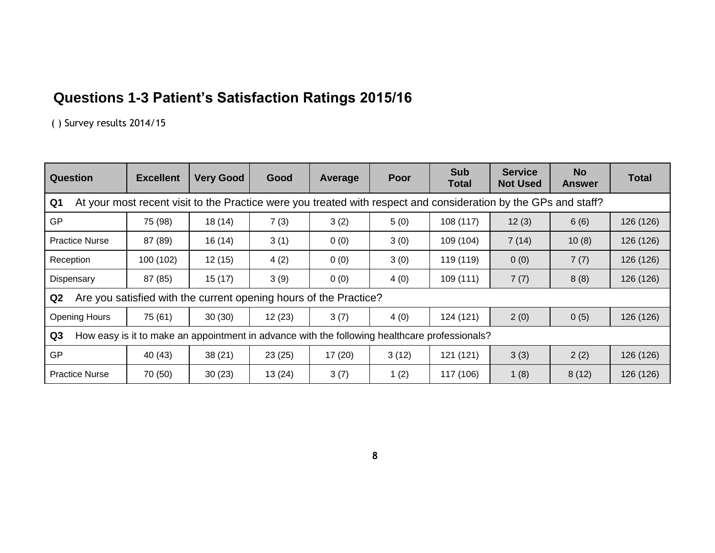## **Questions 1-3 Patient's Satisfaction Ratings 2015/16**

( ) Survey results 2014/15

| <b>Question</b>                                                                                                                   | <b>Excellent</b> | <b>Very Good</b>                                                  | Good   | Average | Poor  | <b>Sub</b><br>Total | <b>Service</b><br><b>Not Used</b> | <b>No</b><br><b>Answer</b> | <b>Total</b> |  |
|-----------------------------------------------------------------------------------------------------------------------------------|------------------|-------------------------------------------------------------------|--------|---------|-------|---------------------|-----------------------------------|----------------------------|--------------|--|
| At your most recent visit to the Practice were you treated with respect and consideration by the GPs and staff?<br>Q <sub>1</sub> |                  |                                                                   |        |         |       |                     |                                   |                            |              |  |
| <b>GP</b>                                                                                                                         | 75 (98)          | 18(14)                                                            | 7(3)   | 3(2)    | 5(0)  | 108 (117)           | 12(3)                             | 6(6)                       | 126 (126)    |  |
| <b>Practice Nurse</b>                                                                                                             | 87 (89)          | 16(14)                                                            | 3(1)   | 0(0)    | 3(0)  | 109 (104)           | 7(14)                             | 10(8)                      | 126 (126)    |  |
| Reception                                                                                                                         | 100 (102)        | 12(15)                                                            | 4(2)   | 0(0)    | 3(0)  | 119 (119)           | 0(0)                              | 7(7)                       | 126 (126)    |  |
| Dispensary                                                                                                                        | 87 (85)          | 15(17)                                                            | 3(9)   | 0(0)    | 4(0)  | 109 (111)           | 7(7)                              | 8(8)                       | 126 (126)    |  |
| Q2                                                                                                                                |                  | Are you satisfied with the current opening hours of the Practice? |        |         |       |                     |                                   |                            |              |  |
| <b>Opening Hours</b>                                                                                                              | 75 (61)          | 30(30)                                                            | 12(23) | 3(7)    | 4(0)  | 124 (121)           | 2(0)                              | 0(5)                       | 126 (126)    |  |
| How easy is it to make an appointment in advance with the following healthcare professionals?<br>Q3                               |                  |                                                                   |        |         |       |                     |                                   |                            |              |  |
| <b>GP</b>                                                                                                                         | 40 (43)          | 38(21)                                                            | 23(25) | 17(20)  | 3(12) | 121 (121)           | 3(3)                              | 2(2)                       | 126 (126)    |  |
| <b>Practice Nurse</b>                                                                                                             | 70 (50)          | 30(23)                                                            | 13(24) | 3(7)    | 1(2)  | 117 (106)           | 1(8)                              | 8(12)                      | 126 (126)    |  |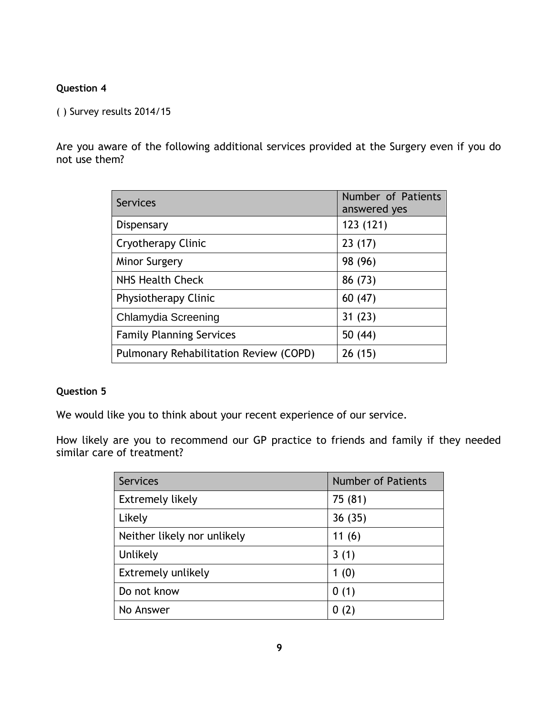#### **Question 4**

( ) Survey results 2014/15

Are you aware of the following additional services provided at the Surgery even if you do not use them?

| <b>Services</b>                        | Number of Patients<br>answered yes |
|----------------------------------------|------------------------------------|
| Dispensary                             | 123 (121)                          |
| Cryotherapy Clinic                     | 23(17)                             |
| Minor Surgery                          | 98 (96)                            |
| <b>NHS Health Check</b>                | 86 (73)                            |
| Physiotherapy Clinic                   | 60(47)                             |
| Chlamydia Screening                    | 31(23)                             |
| <b>Family Planning Services</b>        | 50 (44)                            |
| Pulmonary Rehabilitation Review (COPD) | 26(15)                             |

#### **Question 5**

We would like you to think about your recent experience of our service.

How likely are you to recommend our GP practice to friends and family if they needed similar care of treatment?

| <b>Services</b>             | <b>Number of Patients</b> |
|-----------------------------|---------------------------|
| <b>Extremely likely</b>     | 75 (81)                   |
| Likely                      | 36(35)                    |
| Neither likely nor unlikely | 11(6)                     |
| Unlikely                    | 3(1)                      |
| Extremely unlikely          | 1(0)                      |
| Do not know                 | 0(1)                      |
| No Answer                   |                           |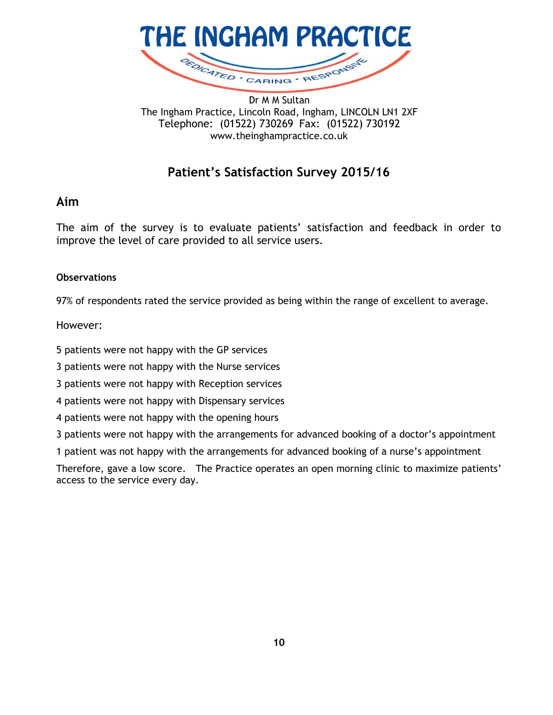

The Ingham Practice, Lincoln Road, Ingham, LINCOLN LN1 2XF Telephone: (01522) 730269 Fax: (01522) 730192 www.theinghampractice.co.uk

### **Patient's Satisfaction Survey 2015/16**

#### **Aim**

The aim of the survey is to evaluate patients' satisfaction and feedback in order to improve the level of care provided to all service users.

#### **Observations**

97% of respondents rated the service provided as being within the range of excellent to average.

However:

5 patients were not happy with the GP services

3 patients were not happy with the Nurse services

3 patients were not happy with Reception services

4 patients were not happy with Dispensary services

4 patients were not happy with the opening hours

3 patients were not happy with the arrangements for advanced booking of a doctor's appointment

1 patient was not happy with the arrangements for advanced booking of a nurse's appointment

Therefore, gave a low score. The Practice operates an open morning clinic to maximize patients' access to the service every day.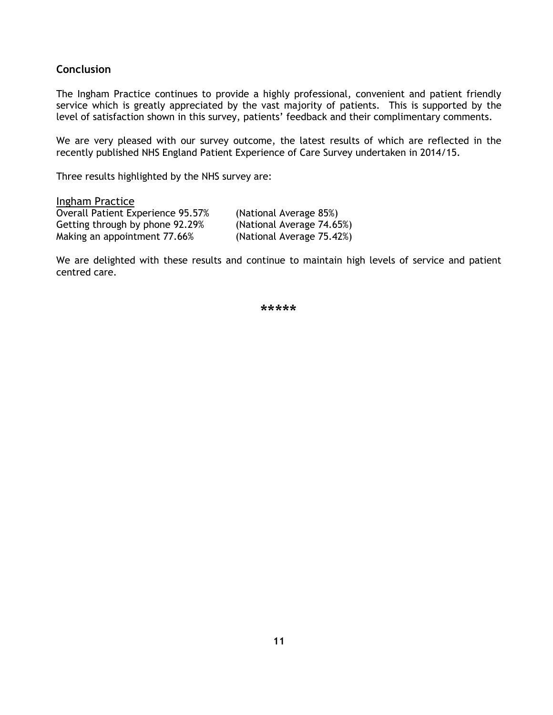#### **Conclusion**

The Ingham Practice continues to provide a highly professional, convenient and patient friendly service which is greatly appreciated by the vast majority of patients. This is supported by the level of satisfaction shown in this survey, patients' feedback and their complimentary comments.

We are very pleased with our survey outcome, the latest results of which are reflected in the recently published NHS England Patient Experience of Care Survey undertaken in 2014/15.

Three results highlighted by the NHS survey are:

Ingham Practice Overall Patient Experience 95.57% (National Average 85%) Getting through by phone 92.29% (National Average 74.65%) Making an appointment 77.66% (National Average 75.42%)

We are delighted with these results and continue to maintain high levels of service and patient centred care.

\*\*\*\*\*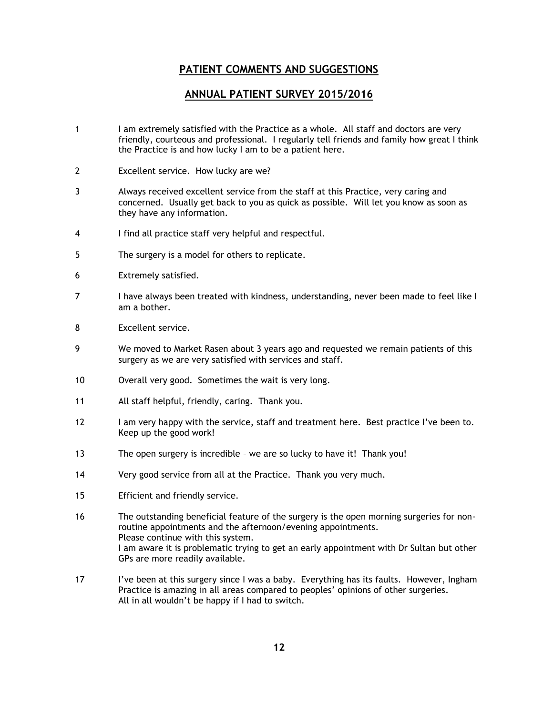#### **PATIENT COMMENTS AND SUGGESTIONS**

#### **ANNUAL PATIENT SURVEY 2015/2016**

- 1 I am extremely satisfied with the Practice as a whole. All staff and doctors are very friendly, courteous and professional. I regularly tell friends and family how great I think the Practice is and how lucky I am to be a patient here.
- 2 Excellent service. How lucky are we?
- 3 Always received excellent service from the staff at this Practice, very caring and concerned. Usually get back to you as quick as possible. Will let you know as soon as they have any information.
- 4 I find all practice staff very helpful and respectful.
- 5 The surgery is a model for others to replicate.
- 6 Extremely satisfied.
- 7 I have always been treated with kindness, understanding, never been made to feel like I am a bother.
- 8 Excellent service.
- 9 We moved to Market Rasen about 3 years ago and requested we remain patients of this surgery as we are very satisfied with services and staff.
- 10 Overall very good. Sometimes the wait is very long.
- 11 All staff helpful, friendly, caring. Thank you.
- 12 I am very happy with the service, staff and treatment here. Best practice I've been to. Keep up the good work!
- 13 The open surgery is incredible we are so lucky to have it! Thank you!
- 14 Very good service from all at the Practice. Thank you very much.
- 15 Efficient and friendly service.
- 16 The outstanding beneficial feature of the surgery is the open morning surgeries for nonroutine appointments and the afternoon/evening appointments. Please continue with this system. I am aware it is problematic trying to get an early appointment with Dr Sultan but other GPs are more readily available.
- 17 I've been at this surgery since I was a baby. Everything has its faults. However, Ingham Practice is amazing in all areas compared to peoples' opinions of other surgeries. All in all wouldn't be happy if I had to switch.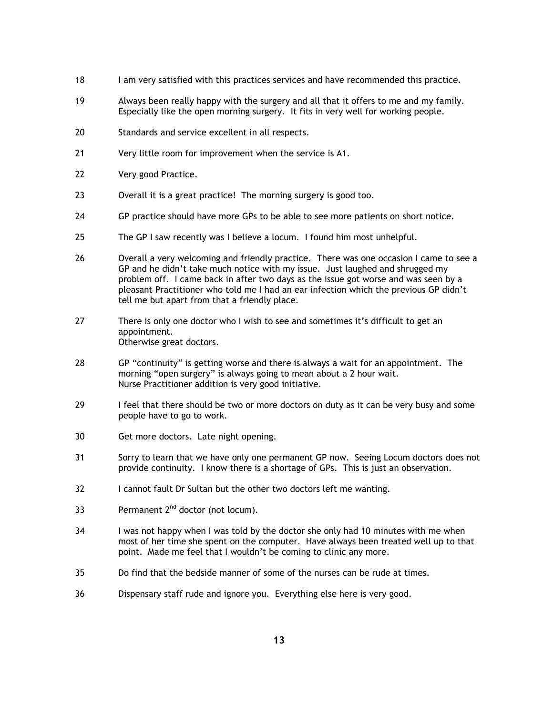- 18 I am very satisfied with this practices services and have recommended this practice.
- 19 Always been really happy with the surgery and all that it offers to me and my family. Especially like the open morning surgery. It fits in very well for working people.
- 20 Standards and service excellent in all respects.
- 21 Very little room for improvement when the service is A1.
- 22 Very good Practice.
- 23 Overall it is a great practice! The morning surgery is good too.
- 24 GP practice should have more GPs to be able to see more patients on short notice.
- 25 The GP I saw recently was I believe a locum. I found him most unhelpful.
- 26 Overall a very welcoming and friendly practice. There was one occasion I came to see a GP and he didn't take much notice with my issue. Just laughed and shrugged my problem off. I came back in after two days as the issue got worse and was seen by a pleasant Practitioner who told me I had an ear infection which the previous GP didn't tell me but apart from that a friendly place.
- 27 There is only one doctor who I wish to see and sometimes it's difficult to get an appointment. Otherwise great doctors.
- 28 GP "continuity" is getting worse and there is always a wait for an appointment. The morning "open surgery" is always going to mean about a 2 hour wait. Nurse Practitioner addition is very good initiative.
- 29 I feel that there should be two or more doctors on duty as it can be very busy and some people have to go to work.
- 30 Get more doctors. Late night opening.
- 31 Sorry to learn that we have only one permanent GP now. Seeing Locum doctors does not provide continuity. I know there is a shortage of GPs. This is just an observation.
- 32 I cannot fault Dr Sultan but the other two doctors left me wanting.
- 33 Permanent  $2^{nd}$  doctor (not locum).
- 34 I was not happy when I was told by the doctor she only had 10 minutes with me when most of her time she spent on the computer. Have always been treated well up to that point. Made me feel that I wouldn't be coming to clinic any more.
- 35 Do find that the bedside manner of some of the nurses can be rude at times.
- 36 Dispensary staff rude and ignore you. Everything else here is very good.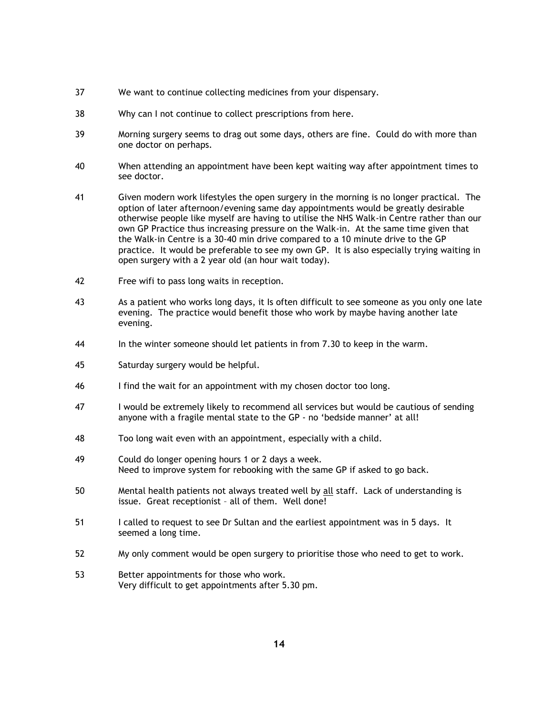- 37 We want to continue collecting medicines from your dispensary.
- 38 Why can I not continue to collect prescriptions from here.
- 39 Morning surgery seems to drag out some days, others are fine. Could do with more than one doctor on perhaps.
- 40 When attending an appointment have been kept waiting way after appointment times to see doctor.
- 41 Given modern work lifestyles the open surgery in the morning is no longer practical. The option of later afternoon/evening same day appointments would be greatly desirable otherwise people like myself are having to utilise the NHS Walk-in Centre rather than our own GP Practice thus increasing pressure on the Walk-in. At the same time given that the Walk-in Centre is a 30-40 min drive compared to a 10 minute drive to the GP practice. It would be preferable to see my own GP. It is also especially trying waiting in open surgery with a 2 year old (an hour wait today).
- 42 Free wifi to pass long waits in reception.
- 43 As a patient who works long days, it Is often difficult to see someone as you only one late evening. The practice would benefit those who work by maybe having another late evening.
- 44 In the winter someone should let patients in from 7.30 to keep in the warm.
- 45 Saturday surgery would be helpful.
- 46 I find the wait for an appointment with my chosen doctor too long.
- 47 I would be extremely likely to recommend all services but would be cautious of sending anyone with a fragile mental state to the GP - no 'bedside manner' at all!
- 48 Too long wait even with an appointment, especially with a child.
- 49 Could do longer opening hours 1 or 2 days a week. Need to improve system for rebooking with the same GP if asked to go back.
- 50 Mental health patients not always treated well by all staff. Lack of understanding is issue. Great receptionist – all of them. Well done!
- 51 I called to request to see Dr Sultan and the earliest appointment was in 5 days. It seemed a long time.
- 52 My only comment would be open surgery to prioritise those who need to get to work.
- 53 Better appointments for those who work. Very difficult to get appointments after 5.30 pm.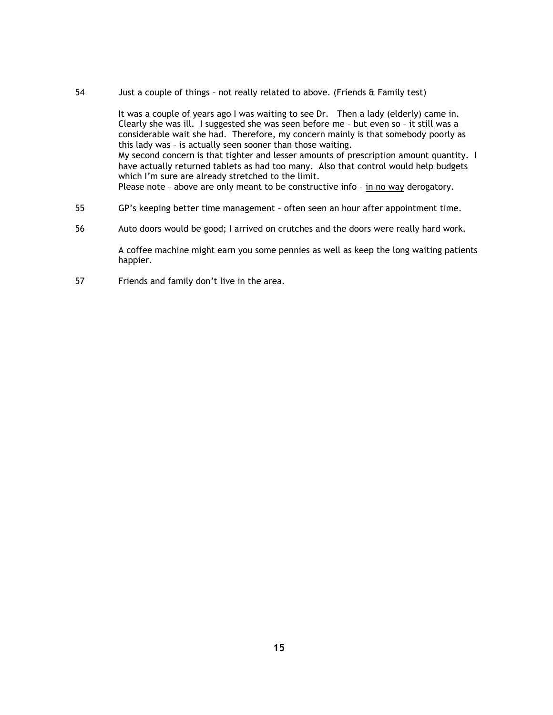54 Just a couple of things – not really related to above. (Friends & Family test)

It was a couple of years ago I was waiting to see Dr. Then a lady (elderly) came in. Clearly she was ill. I suggested she was seen before me – but even so – it still was a considerable wait she had. Therefore, my concern mainly is that somebody poorly as this lady was – is actually seen sooner than those waiting. My second concern is that tighter and lesser amounts of prescription amount quantity. I have actually returned tablets as had too many. Also that control would help budgets which I'm sure are already stretched to the limit. Please note - above are only meant to be constructive info - in no way derogatory.

- 55 GP's keeping better time management often seen an hour after appointment time.
- 56 Auto doors would be good; I arrived on crutches and the doors were really hard work.

A coffee machine might earn you some pennies as well as keep the long waiting patients happier.

57 Friends and family don't live in the area.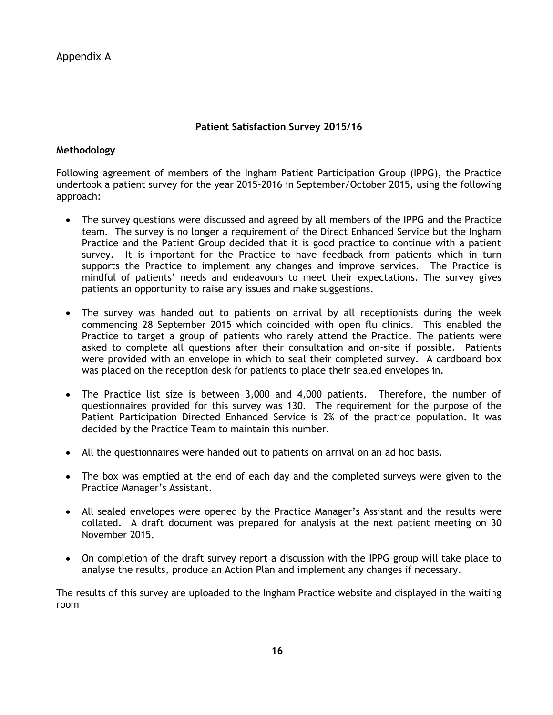Appendix A

#### **Patient Satisfaction Survey 2015/16**

#### **Methodology**

Following agreement of members of the Ingham Patient Participation Group (IPPG), the Practice undertook a patient survey for the year 2015-2016 in September/October 2015, using the following approach:

- The survey questions were discussed and agreed by all members of the IPPG and the Practice team. The survey is no longer a requirement of the Direct Enhanced Service but the Ingham Practice and the Patient Group decided that it is good practice to continue with a patient survey. It is important for the Practice to have feedback from patients which in turn supports the Practice to implement any changes and improve services. The Practice is mindful of patients' needs and endeavours to meet their expectations. The survey gives patients an opportunity to raise any issues and make suggestions.
- The survey was handed out to patients on arrival by all receptionists during the week commencing 28 September 2015 which coincided with open flu clinics. This enabled the Practice to target a group of patients who rarely attend the Practice. The patients were asked to complete all questions after their consultation and on-site if possible. Patients were provided with an envelope in which to seal their completed survey. A cardboard box was placed on the reception desk for patients to place their sealed envelopes in.
- The Practice list size is between 3,000 and 4,000 patients. Therefore, the number of questionnaires provided for this survey was 130. The requirement for the purpose of the Patient Participation Directed Enhanced Service is 2% of the practice population. It was decided by the Practice Team to maintain this number.
- All the questionnaires were handed out to patients on arrival on an ad hoc basis.
- The box was emptied at the end of each day and the completed surveys were given to the Practice Manager's Assistant.
- All sealed envelopes were opened by the Practice Manager's Assistant and the results were collated. A draft document was prepared for analysis at the next patient meeting on 30 November 2015.
- On completion of the draft survey report a discussion with the IPPG group will take place to analyse the results, produce an Action Plan and implement any changes if necessary.

The results of this survey are uploaded to the Ingham Practice website and displayed in the waiting room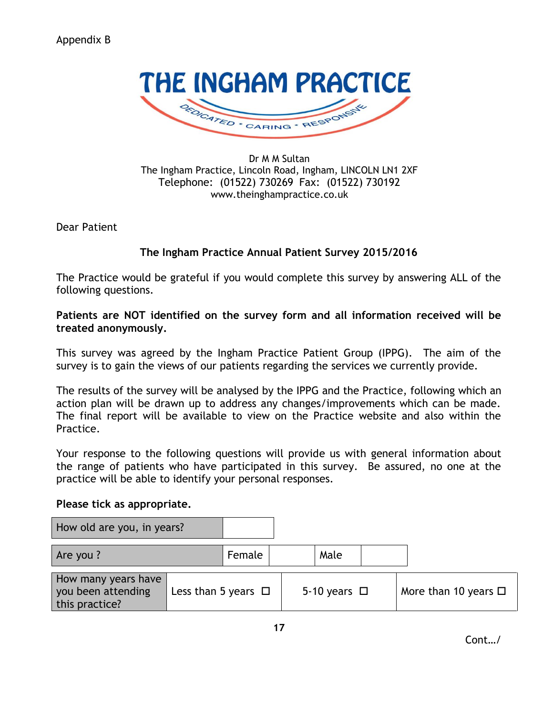

Dr M M Sultan The Ingham Practice, Lincoln Road, Ingham, LINCOLN LN1 2XF Telephone: (01522) 730269 Fax: (01522) 730192 www.theinghampractice.co.uk

Dear Patient

#### **The Ingham Practice Annual Patient Survey 2015/2016**

The Practice would be grateful if you would complete this survey by answering ALL of the following questions.

#### **Patients are NOT identified on the survey form and all information received will be treated anonymously.**

This survey was agreed by the Ingham Practice Patient Group (IPPG). The aim of the survey is to gain the views of our patients regarding the services we currently provide.

The results of the survey will be analysed by the IPPG and the Practice, following which an action plan will be drawn up to address any changes/improvements which can be made. The final report will be available to view on the Practice website and also within the Practice.

Your response to the following questions will provide us with general information about the range of patients who have participated in this survey. Be assured, no one at the practice will be able to identify your personal responses.

#### **Please tick as appropriate.**

| How old are you, in years?                                  |                          |        |                   |                           |
|-------------------------------------------------------------|--------------------------|--------|-------------------|---------------------------|
| Are you ?                                                   |                          | Female | Male              |                           |
| How many years have<br>you been attending<br>this practice? | Less than 5 years $\Box$ |        | 5-10 years $\Box$ | More than 10 years $\Box$ |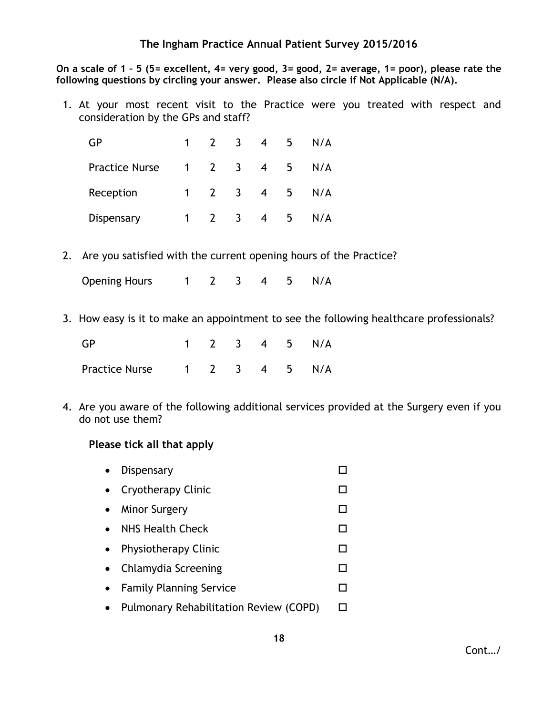**On a scale of 1 – 5 (5= excellent, 4= very good, 3= good, 2= average, 1= poor), please rate the following questions by circling your answer. Please also circle if Not Applicable (N/A).**

1. At your most recent visit to the Practice were you treated with respect and consideration by the GPs and staff?

| GP                    | $\mathbf 1$ |                     | $\overline{3}$          | $\overline{4}$ | 5  | N/A |
|-----------------------|-------------|---------------------|-------------------------|----------------|----|-----|
| <b>Practice Nurse</b> |             | $1 \quad 2 \quad 3$ |                         | $\overline{4}$ | 5  | N/A |
| Reception             | 1           | $\overline{2}$      | $\overline{\mathbf{3}}$ | $\overline{4}$ | -5 | N/A |
| Dispensary            | 1           |                     | $\overline{3}$          | $\overline{4}$ | 5  | N/A |

2. Are you satisfied with the current opening hours of the Practice?

Opening Hours 1 2 3 4 5 N/A

3. How easy is it to make an appointment to see the following healthcare professionals?

| <b>GP</b>                    |  |  | 1 2 3 4 5 N/A |
|------------------------------|--|--|---------------|
| Practice Nurse 1 2 3 4 5 N/A |  |  |               |

4. Are you aware of the following additional services provided at the Surgery even if you do not use them?

#### **Please tick all that apply**

- Dispensary Dispensary Dispensary Dispensary Dispensary Dispensary Dispensary Dispensary Dispensary Dispensary Dispensary Dispensary Dispensary Dispensary Dispensary Dispensary Dispensary Dispensary Dispensary Dispensary
- Cryotherapy Clinic コンピュータ ロンプログラム
- Minor Surgery コンピュータ ロング・コンピュータ ロング・コンピュータ ロング・コンピュータ ロング・コンピュータ ロング・コンピュータ はんしゃ ロング・コンピュータ ロング・コンピュータ はんしゃ
- NHS Health Check DD
- Physiotherapy Clinic コンピュータ ロンドランド ロンドランド
- Chlamydia Screening コンピュータ ロントラン ロントラン ロントラン ロントラン ロントラン ロントラン ロントラン ロントラン ロントラン ロントラン エントラン ロントラン エントラン エントラン エントラン エントランド
- Family Planning Service コンピュータ
- Pulmonary Rehabilitation Review (COPD) □